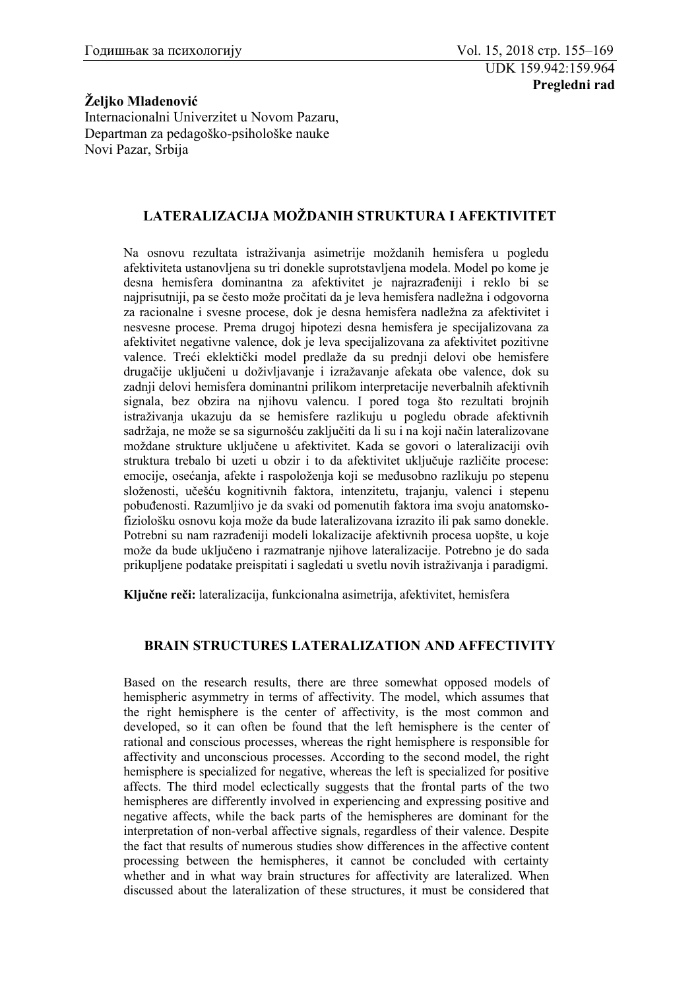## **Željko Mladenović**

Internacionalni Univerzitet u Novom Pazaru, Departman za pedagoško-psihološke nauke Novi Pazar, Srbija

## **LATERALIZACIJA MOŽDANIH STRUKTURA I AFEKTIVITET**

Na osnovu rezultata istraživanja asimetrije moždanih hemisfera u pogledu afektiviteta ustanovljena su tri donekle suprotstavljena modela. Model po kome je desna hemisfera dominantna za afektivitet je najrazrađeniji i reklo bi se najprisutniji, pa se često može pročitati da je leva hemisfera nadležna i odgovorna za racionalne i svesne procese, dok je desna hemisfera nadležna za afektivitet i nesvesne procese. Prema drugoj hipotezi desna hemisfera je specijalizovana za afektivitet negativne valence, dok je leva specijalizovana za afektivitet pozitivne valence. Treći eklektički model predlaže da su prednji delovi obe hemisfere drugačije uključeni u doživljavanje i izražavanje afekata obe valence, dok su zadnji delovi hemisfera dominantni prilikom interpretacije neverbalnih afektivnih signala, bez obzira na njihovu valencu. I pored toga što rezultati brojnih istraživanja ukazuju da se hemisfere razlikuju u pogledu obrade afektivnih sadržaja, ne može se sa sigurnošću zaključiti da li su i na koji način lateralizovane moždane strukture uključene u afektivitet. Kada se govori o lateralizaciji ovih struktura trebalo bi uzeti u obzir i to da afektivitet uključuje različite procese: emocije, osećanja, afekte i raspoloženja koji se međusobno razlikuju po stepenu složenosti, učešću kognitivnih faktora, intenzitetu, trajanju, valenci i stepenu pobuđenosti. Razumljivo je da svaki od pomenutih faktora ima svoju anatomskofiziološku osnovu koja može da bude lateralizovana izrazito ili pak samo donekle. Potrebni su nam razrađeniji modeli lokalizacije afektivnih procesa uopšte, u koje može da bude uključeno i razmatranje njihove lateralizacije. Potrebno je do sada prikupljene podatake preispitati i sagledati u svetlu novih istraživanja i paradigmi.

**Ključne reči:** lateralizacija, funkcionalna asimetrija, afektivitet, hemisfera

## **BRAIN STRUCTURES LATERALIZATION AND AFFECTIVITY**

Based on the research results, there are three somewhat opposed models of hemispheric asymmetry in terms of affectivity. The model, which assumes that the right hemisphere is the center of affectivity, is the most common and developed, so it can often be found that the left hemisphere is the center of rational and conscious processes, whereas the right hemisphere is responsible for affectivity and unconscious processes. According to the second model, the right hemisphere is specialized for negative, whereas the left is specialized for positive affects. The third model eclectically suggests that the frontal parts of the two hemispheres are differently involved in experiencing and expressing positive and negative affects, while the back parts of the hemispheres are dominant for the interpretation of non-verbal affective signals, regardless of their valence. Despite the fact that results of numerous studies show differences in the affective content processing between the hemispheres, it cannot be concluded with certainty whether and in what way brain structures for affectivity are lateralized. When discussed about the lateralization of these structures, it must be considered that